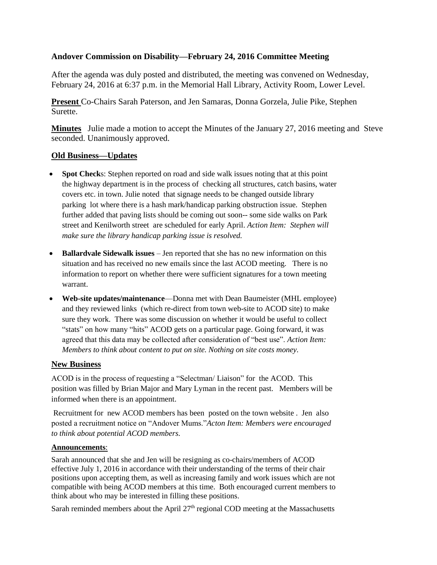## **Andover Commission on Disability—February 24, 2016 Committee Meeting**

After the agenda was duly posted and distributed, the meeting was convened on Wednesday, February 24, 2016 at 6:37 p.m. in the Memorial Hall Library, Activity Room, Lower Level.

**Present** Co-Chairs Sarah Paterson, and Jen Samaras, Donna Gorzela, Julie Pike, Stephen Surette.

**Minutes** Julie made a motion to accept the Minutes of the January 27, 2016 meeting and Steve seconded. Unanimously approved.

## **Old Business—Updates**

- **Spot Check**s: Stephen reported on road and side walk issues noting that at this point the highway department is in the process of checking all structures, catch basins, water covers etc. in town. Julie noted that signage needs to be changed outside library parking lot where there is a hash mark/handicap parking obstruction issue. Stephen further added that paving lists should be coming out soon-- some side walks on Park street and Kenilworth street are scheduled for early April. *Action Item: Stephen will make sure the library handicap parking issue is resolved.*
- **Ballardvale Sidewalk issues** Jen reported that she has no new information on this situation and has received no new emails since the last ACOD meeting. There is no information to report on whether there were sufficient signatures for a town meeting warrant.
- **Web-site updates/maintenance**—Donna met with Dean Baumeister (MHL employee) and they reviewed links (which re-direct from town web-site to ACOD site) to make sure they work. There was some discussion on whether it would be useful to collect "stats" on how many "hits" ACOD gets on a particular page. Going forward, it was agreed that this data may be collected after consideration of "best use". *Action Item: Members to think about content to put on site. Nothing on site costs money.*

## **New Business**

ACOD is in the process of requesting a "Selectman/ Liaison" for the ACOD. This position was filled by Brian Major and Mary Lyman in the recent past. Members will be informed when there is an appointment.

Recruitment for new ACOD members has been posted on the town website . Jen also posted a recruitment notice on "Andover Mums."*Acton Item: Members were encouraged to think about potential ACOD members.*

## **Announcements**:

Sarah announced that she and Jen will be resigning as co-chairs/members of ACOD effective July 1, 2016 in accordance with their understanding of the terms of their chair positions upon accepting them, as well as increasing family and work issues which are not compatible with being ACOD members at this time. Both encouraged current members to think about who may be interested in filling these positions.

Sarah reminded members about the April  $27<sup>th</sup>$  regional COD meeting at the Massachusetts